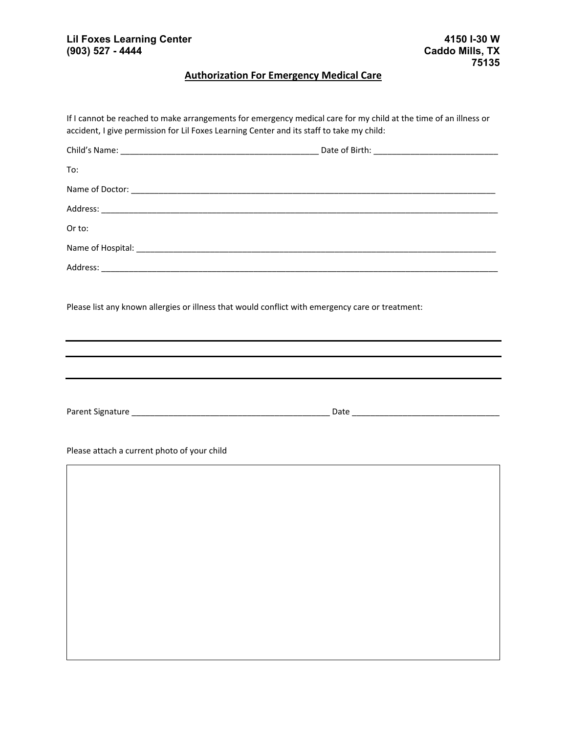## **Authorization For Emergency Medical Care**

| To:                                         |                                                                                                  |
|---------------------------------------------|--------------------------------------------------------------------------------------------------|
|                                             |                                                                                                  |
|                                             |                                                                                                  |
| Or to:                                      |                                                                                                  |
|                                             |                                                                                                  |
|                                             |                                                                                                  |
|                                             |                                                                                                  |
|                                             | Please list any known allergies or illness that would conflict with emergency care or treatment: |
|                                             |                                                                                                  |
|                                             |                                                                                                  |
|                                             |                                                                                                  |
|                                             |                                                                                                  |
|                                             |                                                                                                  |
|                                             |                                                                                                  |
| Please attach a current photo of your child |                                                                                                  |
|                                             |                                                                                                  |
|                                             |                                                                                                  |
|                                             |                                                                                                  |
|                                             |                                                                                                  |
|                                             |                                                                                                  |
|                                             |                                                                                                  |
|                                             |                                                                                                  |
|                                             |                                                                                                  |
|                                             |                                                                                                  |